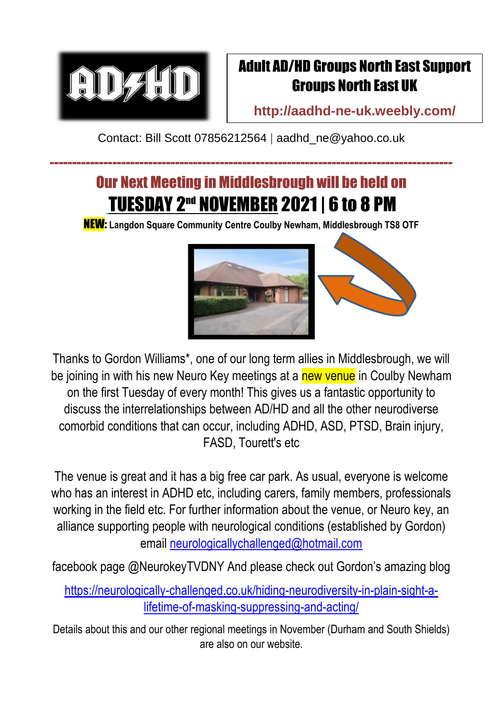

## Adult AD/HD Groups North East Support Groups North East UK

**<http://aadhd-ne-uk.weebly.com/>**

Contact: Bill Scott 07856212564 | [aadhd\\_ne@yahoo.co.uk](mailto:aadhd_ne@yahoo.co.uk)

------------------------------------------------------------------------------------------

## Our Next Meeting in Middlesbrough will be held on TUESDAY 2<sup>nd</sup> November 2021 | 6 to 8 PM

NEW: **Langdon Square Community Centre Coulby Newham, Middlesbrough TS8 OTF**



Thanks to Gordon Williams\*, one of our long term allies in Middlesbrough, we will be joining in with his new Neuro Key meetings at a new venue in Coulby Newham on the first Tuesday of every month! This gives us a fantastic opportunity to discuss the interrelationships between AD/HD and all the other neurodiverse comorbid conditions that can occur, including ADHD, ASD, PTSD, Brain injury, FASD, Tourett's etc

The venue is great and it has a big free car park. As usual, everyone is welcome who has an interest in ADHD etc, including carers, family members, professionals working in the field etc. For further information about the venue, or Neuro key, an alliance supporting people with neurological conditions (established by Gordon) email [neurologicallychallenged@hotmail.com](mailto:neurologicallychallenged@hotmail.com)

facebook page @NeurokeyTVDNY And please check out Gordon's amazing blog

[https://neurologically-challenged.co.uk/hiding-neurodiversity-in-plain-sight-a](https://neurologically-challenged.co.uk/hiding-neurodiversity-in-plain-sight-a-lifetime-of-masking-suppressing-and-acting/)[lifetime-of-masking-suppressing-and-acting/](https://neurologically-challenged.co.uk/hiding-neurodiversity-in-plain-sight-a-lifetime-of-masking-suppressing-and-acting/)

Details about this and our other regional meetings in November (Durham and South Shields) are also on our website.